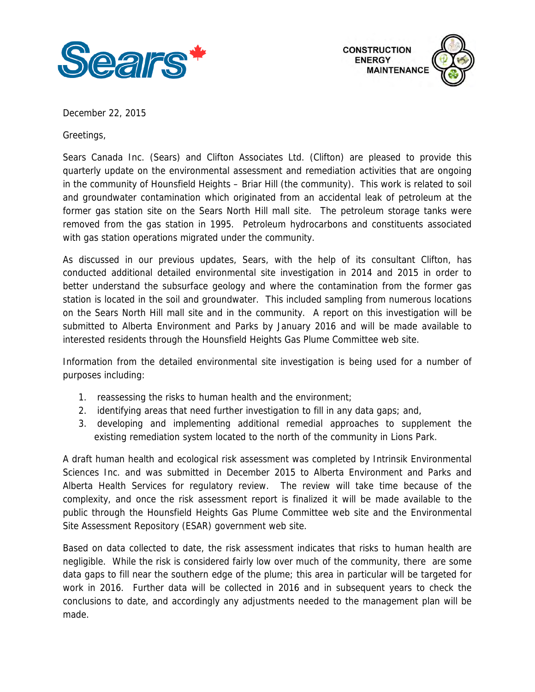



December 22, 2015

Greetings,

Sears Canada Inc. (Sears) and Clifton Associates Ltd. (Clifton) are pleased to provide this quarterly update on the environmental assessment and remediation activities that are ongoing in the community of Hounsfield Heights – Briar Hill (the community). This work is related to soil and groundwater contamination which originated from an accidental leak of petroleum at the former gas station site on the Sears North Hill mall site. The petroleum storage tanks were removed from the gas station in 1995. Petroleum hydrocarbons and constituents associated with gas station operations migrated under the community.

 better understand the subsurface geology and where the contamination from the former gas interested residents through the Hounsfield Heights Gas Plume Committee web site. As discussed in our previous updates, Sears, with the help of its consultant Clifton, has conducted additional detailed environmental site investigation in 2014 and 2015 in order to station is located in the soil and groundwater. This included sampling from numerous locations on the Sears North Hill mall site and in the community. A report on this investigation will be submitted to Alberta Environment and Parks by January 2016 and will be made available to

interested residents through the Hounsfield Heights Gas Plume Committee web site.<br>Information from the detailed environmental site investigation is being used for a number of purposes including:

- 1. reassessing the risks to human health and the environment;
- 2. identifying areas that need further investigation to fill in any data gaps; and,
- 3. developing and implementing additional remedial approaches to supplement the existing remediation system located to the north of the community in Lions Park.

A draft human health and ecological risk assessment was completed by Intrinsik Environmental Sciences Inc. and was submitted in December 2015 to Alberta Environment and Parks and Alberta Health Services for regulatory review. The review will take time because of the complexity, and once the risk assessment report is finalized it will be made available to the public through the Hounsfield Heights Gas Plume Committee web site and the Environmental Site Assessment Repository (ESAR) government web site.

Based on data collected to date, the risk assessment indicates that risks to human health are negligible. While the risk is considered fairly low over much of the community, there are some data gaps to fill near the southern edge of the plume; this area in particular will be targeted for work in 2016. Further data will be collected in 2016 and in subsequent years to check the conclusions to date, and accordingly any adjustments needed to the management plan will be made.